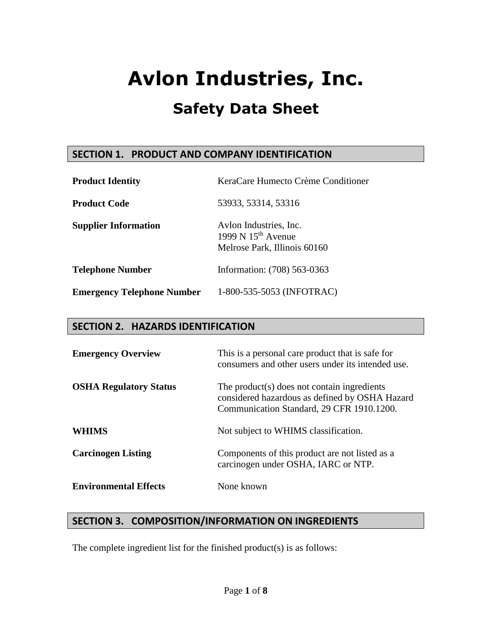## **SECTION 1. PRODUCT AND COMPANY IDENTIFICATION**

| <b>Product Identity</b>           | KeraCare Humecto Crème Conditioner                                                |
|-----------------------------------|-----------------------------------------------------------------------------------|
| <b>Product Code</b>               | 53933, 53314, 53316                                                               |
| <b>Supplier Information</b>       | Aylon Industries, Inc.<br>1999 N $15^{th}$ Avenue<br>Melrose Park, Illinois 60160 |
| <b>Telephone Number</b>           | Information: (708) 563-0363                                                       |
| <b>Emergency Telephone Number</b> | 1-800-535-5053 (INFOTRAC)                                                         |

## **SECTION 2. HAZARDS IDENTIFICATION**

| <b>Emergency Overview</b>     | This is a personal care product that is safe for<br>consumers and other users under its intended use.                                      |
|-------------------------------|--------------------------------------------------------------------------------------------------------------------------------------------|
| <b>OSHA Regulatory Status</b> | The product(s) does not contain ingredients<br>considered hazardous as defined by OSHA Hazard<br>Communication Standard, 29 CFR 1910.1200. |
| WHIMS                         | Not subject to WHIMS classification.                                                                                                       |
| <b>Carcinogen Listing</b>     | Components of this product are not listed as a<br>carcinogen under OSHA, IARC or NTP.                                                      |
| <b>Environmental Effects</b>  | None known                                                                                                                                 |

## **SECTION 3. COMPOSITION/INFORMATION ON INGREDIENTS**

The complete ingredient list for the finished product(s) is as follows: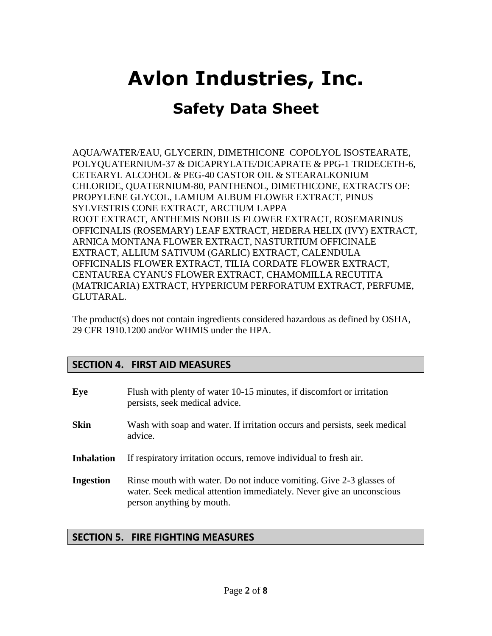## **Safety Data Sheet**

AQUA/WATER/EAU, GLYCERIN, DIMETHICONE COPOLYOL ISOSTEARATE, POLYQUATERNIUM-37 & DICAPRYLATE/DICAPRATE & PPG-1 TRIDECETH-6, CETEARYL ALCOHOL & PEG-40 CASTOR OIL & STEARALKONIUM CHLORIDE, QUATERNIUM-80, PANTHENOL, DIMETHICONE, EXTRACTS OF: PROPYLENE GLYCOL, LAMIUM ALBUM FLOWER EXTRACT, PINUS SYLVESTRIS CONE EXTRACT, ARCTIUM LAPPA ROOT EXTRACT, ANTHEMIS NOBILIS FLOWER EXTRACT, ROSEMARINUS OFFICINALIS (ROSEMARY) LEAF EXTRACT, HEDERA HELIX (IVY) EXTRACT, ARNICA MONTANA FLOWER EXTRACT, NASTURTIUM OFFICINALE EXTRACT, ALLIUM SATIVUM (GARLIC) EXTRACT, CALENDULA OFFICINALIS FLOWER EXTRACT, TILIA CORDATE FLOWER EXTRACT, CENTAUREA CYANUS FLOWER EXTRACT, CHAMOMILLA RECUTITA (MATRICARIA) EXTRACT, HYPERICUM PERFORATUM EXTRACT, PERFUME, GLUTARAL.

The product(s) does not contain ingredients considered hazardous as defined by OSHA, 29 CFR 1910.1200 and/or WHMIS under the HPA.

## **SECTION 4. FIRST AID MEASURES**

| Eye               | Flush with plenty of water 10-15 minutes, if discomfort or irritation<br>persists, seek medical advice.                                                                  |
|-------------------|--------------------------------------------------------------------------------------------------------------------------------------------------------------------------|
| <b>Skin</b>       | Wash with soap and water. If irritation occurs and persists, seek medical<br>advice.                                                                                     |
| <b>Inhalation</b> | If respiratory irritation occurs, remove individual to fresh air.                                                                                                        |
| <b>Ingestion</b>  | Rinse mouth with water. Do not induce vomiting. Give 2-3 glasses of<br>water. Seek medical attention immediately. Never give an unconscious<br>person anything by mouth. |

## **SECTION 5. FIRE FIGHTING MEASURES**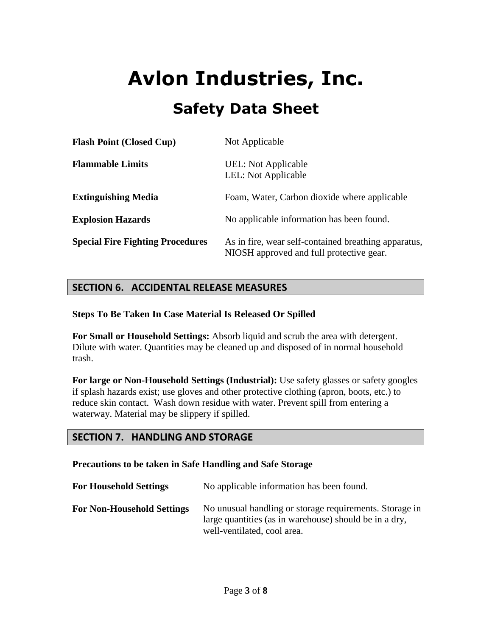| <b>Flash Point (Closed Cup)</b>         | Not Applicable                                                                                   |
|-----------------------------------------|--------------------------------------------------------------------------------------------------|
| <b>Flammable Limits</b>                 | UEL: Not Applicable<br>LEL: Not Applicable                                                       |
| <b>Extinguishing Media</b>              | Foam, Water, Carbon dioxide where applicable                                                     |
| <b>Explosion Hazards</b>                | No applicable information has been found.                                                        |
| <b>Special Fire Fighting Procedures</b> | As in fire, wear self-contained breathing apparatus,<br>NIOSH approved and full protective gear. |

## **SECTION 6. ACCIDENTAL RELEASE MEASURES**

#### **Steps To Be Taken In Case Material Is Released Or Spilled**

**For Small or Household Settings:** Absorb liquid and scrub the area with detergent. Dilute with water. Quantities may be cleaned up and disposed of in normal household trash.

**For large or Non-Household Settings (Industrial):** Use safety glasses or safety googles if splash hazards exist; use gloves and other protective clothing (apron, boots, etc.) to reduce skin contact. Wash down residue with water. Prevent spill from entering a waterway. Material may be slippery if spilled.

## **SECTION 7. HANDLING AND STORAGE**

### **Precautions to be taken in Safe Handling and Safe Storage**

| <b>For Household Settings</b>     | No applicable information has been found.                                                                                                        |
|-----------------------------------|--------------------------------------------------------------------------------------------------------------------------------------------------|
| <b>For Non-Household Settings</b> | No unusual handling or storage requirements. Storage in<br>large quantities (as in warehouse) should be in a dry,<br>well-ventilated, cool area. |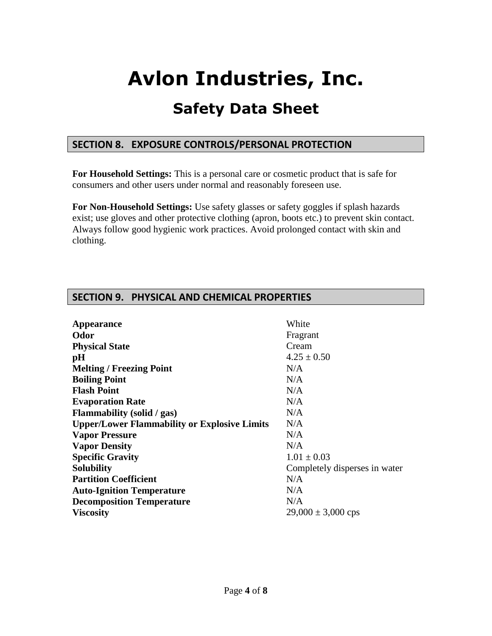## **Safety Data Sheet**

## **SECTION 8. EXPOSURE CONTROLS/PERSONAL PROTECTION**

**For Household Settings:** This is a personal care or cosmetic product that is safe for consumers and other users under normal and reasonably foreseen use.

**For Non-Household Settings:** Use safety glasses or safety goggles if splash hazards exist; use gloves and other protective clothing (apron, boots etc.) to prevent skin contact. Always follow good hygienic work practices. Avoid prolonged contact with skin and clothing.

| Appearance                                          | White                         |
|-----------------------------------------------------|-------------------------------|
| Odor                                                | Fragrant                      |
| <b>Physical State</b>                               | Cream                         |
| pH                                                  | $4.25 \pm 0.50$               |
| <b>Melting / Freezing Point</b>                     | N/A                           |
| <b>Boiling Point</b>                                | N/A                           |
| <b>Flash Point</b>                                  | N/A                           |
| <b>Evaporation Rate</b>                             | N/A                           |
| Flammability (solid / gas)                          | N/A                           |
| <b>Upper/Lower Flammability or Explosive Limits</b> | N/A                           |
| <b>Vapor Pressure</b>                               | N/A                           |
| <b>Vapor Density</b>                                | N/A                           |
| <b>Specific Gravity</b>                             | $1.01 \pm 0.03$               |
| <b>Solubility</b>                                   | Completely disperses in water |
| <b>Partition Coefficient</b>                        | N/A                           |
| <b>Auto-Ignition Temperature</b>                    | N/A                           |
| <b>Decomposition Temperature</b>                    | N/A                           |
| <b>Viscosity</b>                                    | $29,000 \pm 3,000$ cps        |

## **SECTION 9. PHYSICAL AND CHEMICAL PROPERTIES**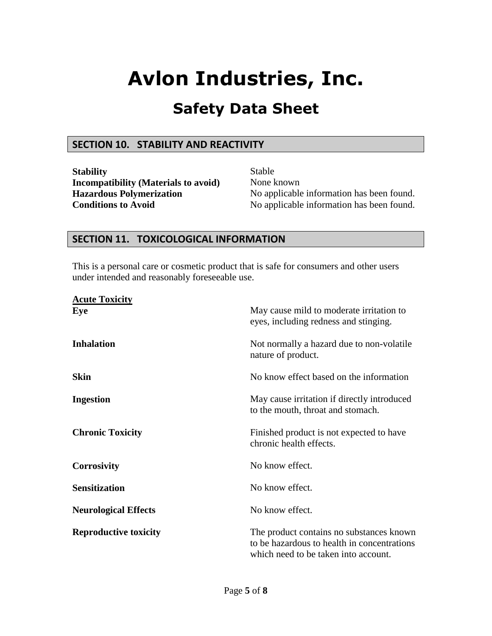## **Safety Data Sheet**

### **SECTION 10. STABILITY AND REACTIVITY**

**Stability** Stable **Incompatibility (Materials to avoid)** None known

**Hazardous Polymerization** No applicable information has been found. **Conditions to Avoid** No applicable information has been found.

## **SECTION 11. TOXICOLOGICAL INFORMATION**

This is a personal care or cosmetic product that is safe for consumers and other users under intended and reasonably foreseeable use.

| <b>Acute Toxicity</b>        |                                                                                                                                 |
|------------------------------|---------------------------------------------------------------------------------------------------------------------------------|
| Eye                          | May cause mild to moderate irritation to<br>eyes, including redness and stinging.                                               |
| <b>Inhalation</b>            | Not normally a hazard due to non-volatile<br>nature of product.                                                                 |
| <b>Skin</b>                  | No know effect based on the information                                                                                         |
| <b>Ingestion</b>             | May cause irritation if directly introduced<br>to the mouth, throat and stomach.                                                |
| <b>Chronic Toxicity</b>      | Finished product is not expected to have<br>chronic health effects.                                                             |
| <b>Corrosivity</b>           | No know effect.                                                                                                                 |
| <b>Sensitization</b>         | No know effect.                                                                                                                 |
| <b>Neurological Effects</b>  | No know effect.                                                                                                                 |
| <b>Reproductive toxicity</b> | The product contains no substances known<br>to be hazardous to health in concentrations<br>which need to be taken into account. |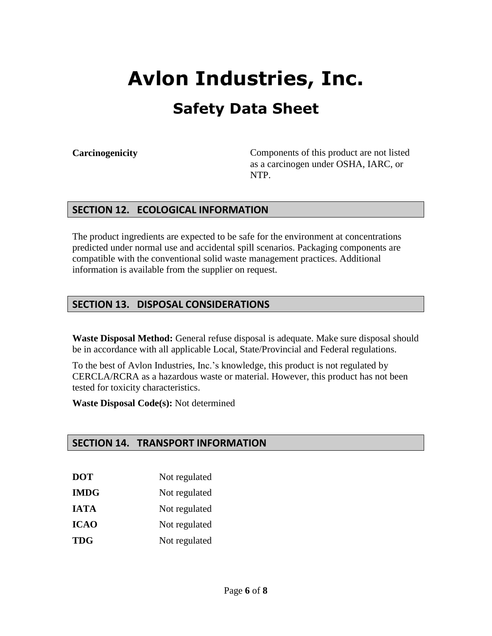**Carcinogenicity** Components of this product are not listed as a carcinogen under OSHA, IARC, or NTP.

## **SECTION 12. ECOLOGICAL INFORMATION**

The product ingredients are expected to be safe for the environment at concentrations predicted under normal use and accidental spill scenarios. Packaging components are compatible with the conventional solid waste management practices. Additional information is available from the supplier on request.

## **SECTION 13. DISPOSAL CONSIDERATIONS**

**Waste Disposal Method:** General refuse disposal is adequate. Make sure disposal should be in accordance with all applicable Local, State/Provincial and Federal regulations.

To the best of Avlon Industries, Inc.'s knowledge, this product is not regulated by CERCLA/RCRA as a hazardous waste or material. However, this product has not been tested for toxicity characteristics.

**Waste Disposal Code(s):** Not determined

## **SECTION 14. TRANSPORT INFORMATION**

- **DOT** Not regulated
- **IMDG** Not regulated
- **IATA** Not regulated
- **ICAO** Not regulated
- **TDG** Not regulated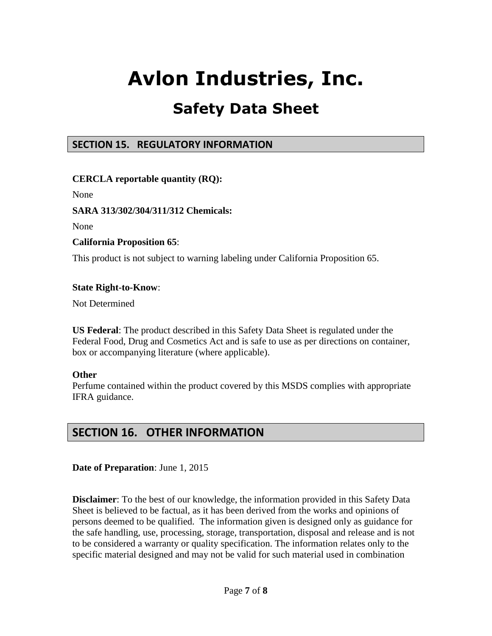## **Safety Data Sheet**

## **SECTION 15. REGULATORY INFORMATION**

**CERCLA reportable quantity (RQ):**

None

### **SARA 313/302/304/311/312 Chemicals:**

None

### **California Proposition 65**:

This product is not subject to warning labeling under California Proposition 65.

#### **State Right-to-Know**:

Not Determined

**US Federal**: The product described in this Safety Data Sheet is regulated under the Federal Food, Drug and Cosmetics Act and is safe to use as per directions on container, box or accompanying literature (where applicable).

#### **Other**

Perfume contained within the product covered by this MSDS complies with appropriate IFRA guidance.

## **SECTION 16. OTHER INFORMATION**

**Date of Preparation**: June 1, 2015

**Disclaimer**: To the best of our knowledge, the information provided in this Safety Data Sheet is believed to be factual, as it has been derived from the works and opinions of persons deemed to be qualified. The information given is designed only as guidance for the safe handling, use, processing, storage, transportation, disposal and release and is not to be considered a warranty or quality specification. The information relates only to the specific material designed and may not be valid for such material used in combination